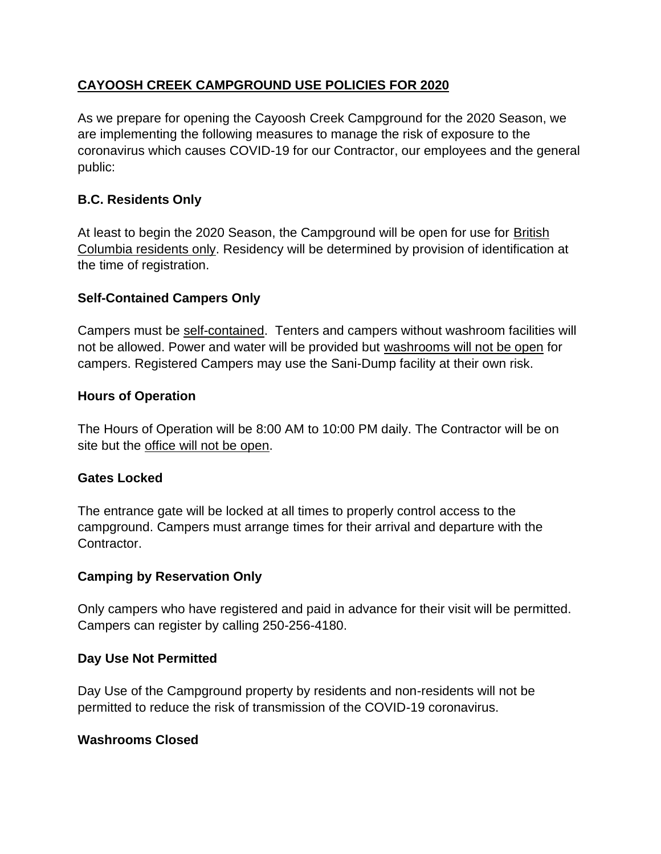# **CAYOOSH CREEK CAMPGROUND USE POLICIES FOR 2020**

As we prepare for opening the Cayoosh Creek Campground for the 2020 Season, we are implementing the following measures to manage the risk of exposure to the coronavirus which causes COVID-19 for our Contractor, our employees and the general public:

## **B.C. Residents Only**

At least to begin the 2020 Season, the Campground will be open for use for British Columbia residents only. Residency will be determined by provision of identification at the time of registration.

## **Self-Contained Campers Only**

Campers must be self-contained. Tenters and campers without washroom facilities will not be allowed. Power and water will be provided but washrooms will not be open for campers. Registered Campers may use the Sani-Dump facility at their own risk.

## **Hours of Operation**

The Hours of Operation will be 8:00 AM to 10:00 PM daily. The Contractor will be on site but the office will not be open.

## **Gates Locked**

The entrance gate will be locked at all times to properly control access to the campground. Campers must arrange times for their arrival and departure with the Contractor.

## **Camping by Reservation Only**

Only campers who have registered and paid in advance for their visit will be permitted. Campers can register by calling 250-256-4180.

## **Day Use Not Permitted**

Day Use of the Campground property by residents and non-residents will not be permitted to reduce the risk of transmission of the COVID-19 coronavirus.

## **Washrooms Closed**